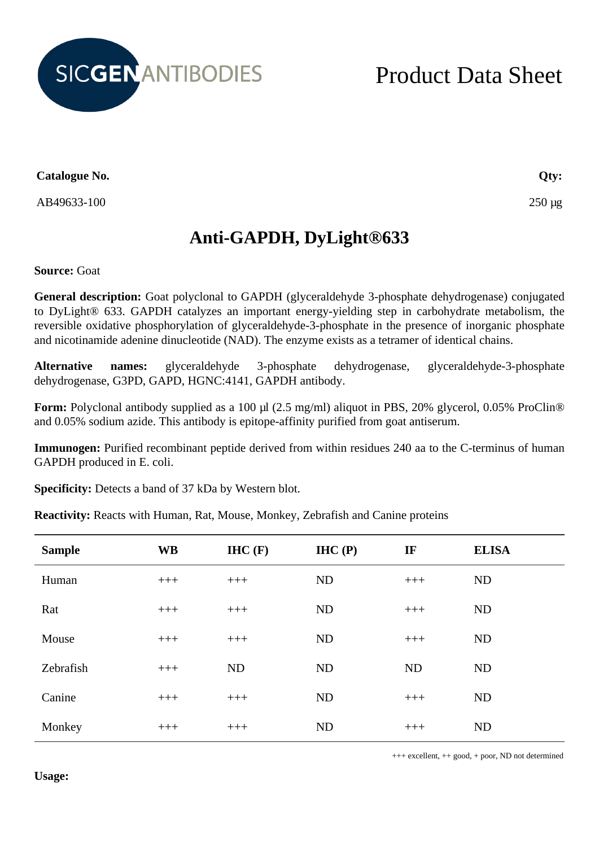

## Product Data Sheet

**Catalogue No.**

AB49633-100

**Qty:**

250 µg

## **Anti-GAPDH, DyLight®633**

**Source:** Goat

**General description:** Goat polyclonal to GAPDH (glyceraldehyde 3-phosphate dehydrogenase) conjugated to DyLight® 633. GAPDH catalyzes an important energy-yielding step in carbohydrate metabolism, the reversible oxidative phosphorylation of glyceraldehyde-3-phosphate in the presence of inorganic phosphate and nicotinamide adenine dinucleotide (NAD). The enzyme exists as a tetramer of identical chains.

**Alternative names:** glyceraldehyde 3-phosphate dehydrogenase, glyceraldehyde-3-phosphate dehydrogenase, G3PD, GAPD, HGNC:4141, GAPDH antibody.

**Form:** Polyclonal antibody supplied as a 100 µl (2.5 mg/ml) aliquot in PBS, 20% glycerol, 0.05% ProClin® and 0.05% sodium azide. This antibody is epitope-affinity purified from goat antiserum.

**Immunogen:** Purified recombinant peptide derived from within residues 240 aa to the C-terminus of human GAPDH produced in E. coli.

**Specificity:** Detects a band of 37 kDa by Western blot.

**Reactivity:** Reacts with Human, Rat, Mouse, Monkey, Zebrafish and Canine proteins

| <b>Sample</b> | <b>WB</b> | H C(F)    | IHC(P)    | IF        | <b>ELISA</b> |
|---------------|-----------|-----------|-----------|-----------|--------------|
| Human         | $+++$     | $+++$     | <b>ND</b> | $+++$     | ND           |
| Rat           | $+++$     | $+++$     | <b>ND</b> | $+++$     | ND           |
| Mouse         | $+++$     | $+++$     | <b>ND</b> | $+++$     | ND           |
| Zebrafish     | $+++$     | <b>ND</b> | ND        | <b>ND</b> | ND           |
| Canine        | $+++$     | $+++$     | <b>ND</b> | $+++$     | ND           |
| Monkey        | $+++$     | $+++$     | ND        | $+++$     | ND           |

+++ excellent, ++ good, + poor, ND not determined

**Usage:**